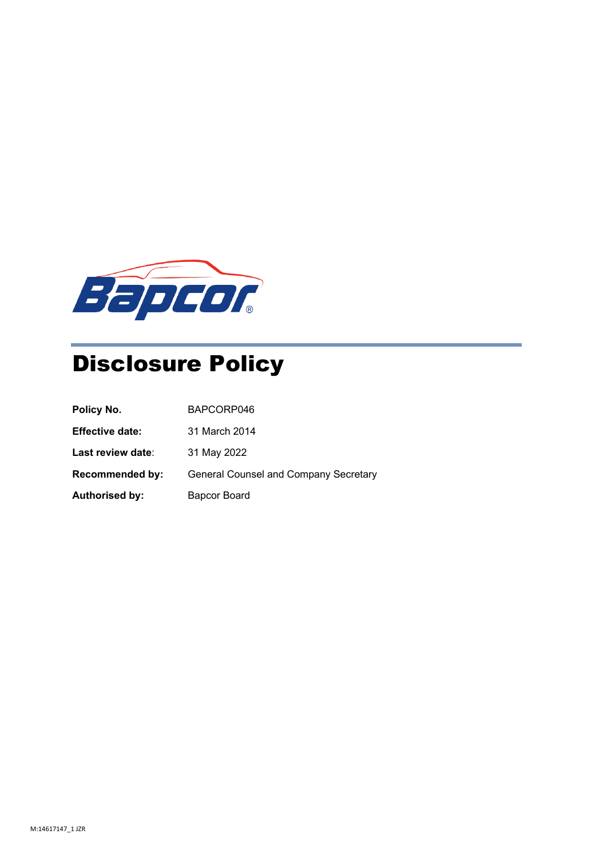

# Disclosure Policy

| Policy No.             | BAPCORP046                                   |
|------------------------|----------------------------------------------|
| <b>Effective date:</b> | 31 March 2014                                |
| Last review date:      | 31 May 2022                                  |
| <b>Recommended by:</b> | <b>General Counsel and Company Secretary</b> |
| <b>Authorised by:</b>  | Bapcor Board                                 |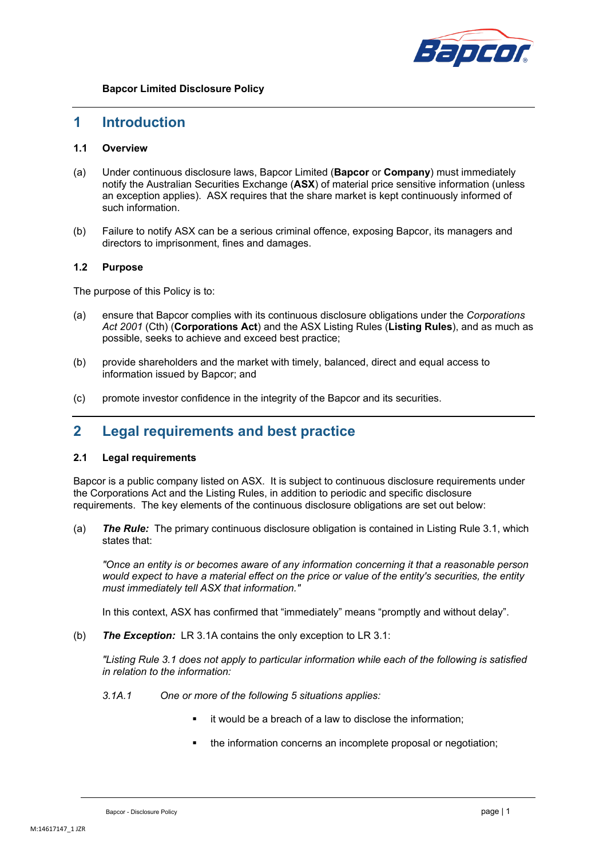

### **1 Introduction**

### **1.1 Overview**

- (a) Under continuous disclosure laws, Bapcor Limited (**Bapcor** or **Company**) must immediately notify the Australian Securities Exchange (**ASX**) of material price sensitive information (unless an exception applies). ASX requires that the share market is kept continuously informed of such information.
- (b) Failure to notify ASX can be a serious criminal offence, exposing Bapcor, its managers and directors to imprisonment, fines and damages.

### **1.2 Purpose**

The purpose of this Policy is to:

- (a) ensure that Bapcor complies with its continuous disclosure obligations under the *Corporations Act 2001* (Cth) (**Corporations Act**) and the ASX Listing Rules (**Listing Rules**), and as much as possible, seeks to achieve and exceed best practice;
- (b) provide shareholders and the market with timely, balanced, direct and equal access to information issued by Bapcor; and
- (c) promote investor confidence in the integrity of the Bapcor and its securities.

### **2 Legal requirements and best practice**

### **2.1 Legal requirements**

Bapcor is a public company listed on ASX. It is subject to continuous disclosure requirements under the Corporations Act and the Listing Rules, in addition to periodic and specific disclosure requirements. The key elements of the continuous disclosure obligations are set out below:

(a) *The Rule:* The primary continuous disclosure obligation is contained in Listing Rule 3.1, which states that:

*"Once an entity is or becomes aware of any information concerning it that a reasonable person would expect to have a material effect on the price or value of the entity's securities, the entity must immediately tell ASX that information."*

In this context, ASX has confirmed that "immediately" means "promptly and without delay".

(b) *The Exception:* LR 3.1A contains the only exception to LR 3.1:

*"Listing Rule 3.1 does not apply to particular information while each of the following is satisfied in relation to the information:* 

- *3.1A.1 One or more of the following 5 situations applies:*
	- it would be a breach of a law to disclose the information;
	- the information concerns an incomplete proposal or negotiation;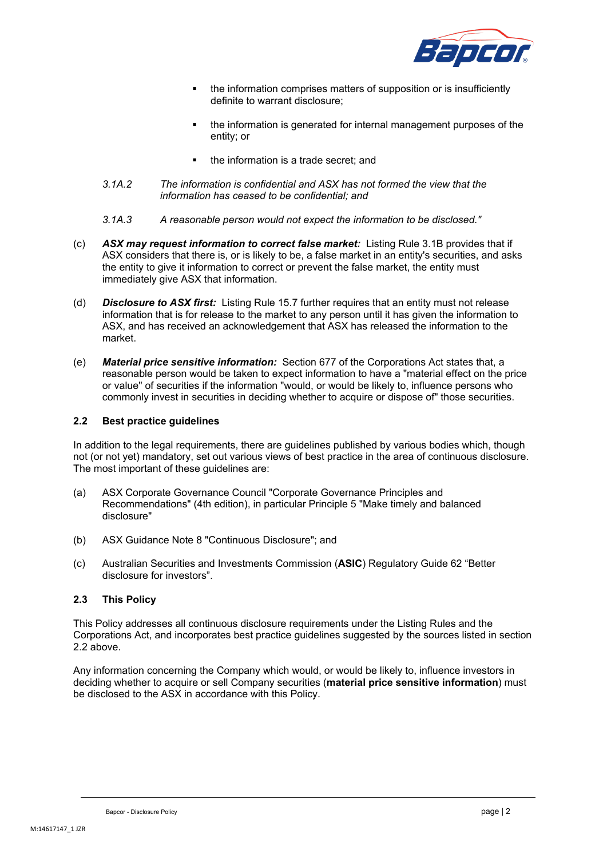

- the information comprises matters of supposition or is insufficiently definite to warrant disclosure;
- the information is generated for internal management purposes of the entity; or
- the information is a trade secret; and
- *3.1A.2 The information is confidential and ASX has not formed the view that the information has ceased to be confidential; and*
- *3.1A.3 A reasonable person would not expect the information to be disclosed."*
- (c) *ASX may request information to correct false market:* Listing Rule 3.1B provides that if ASX considers that there is, or is likely to be, a false market in an entity's securities, and asks the entity to give it information to correct or prevent the false market, the entity must immediately give ASX that information.
- (d) *Disclosure to ASX first:* Listing Rule 15.7 further requires that an entity must not release information that is for release to the market to any person until it has given the information to ASX, and has received an acknowledgement that ASX has released the information to the market.
- (e) *Material price sensitive information:* Section 677 of the Corporations Act states that, a reasonable person would be taken to expect information to have a "material effect on the price or value" of securities if the information "would, or would be likely to, influence persons who commonly invest in securities in deciding whether to acquire or dispose of" those securities.

### <span id="page-2-0"></span>**2.2 Best practice guidelines**

In addition to the legal requirements, there are guidelines published by various bodies which, though not (or not yet) mandatory, set out various views of best practice in the area of continuous disclosure. The most important of these guidelines are:

- (a) ASX Corporate Governance Council "Corporate Governance Principles and Recommendations" (4th edition), in particular Principle 5 "Make timely and balanced disclosure"
- (b) ASX Guidance Note 8 "Continuous Disclosure"; and
- (c) Australian Securities and Investments Commission (**ASIC**) Regulatory Guide 62 "Better disclosure for investors".

### **2.3 This Policy**

This Policy addresses all continuous disclosure requirements under the Listing Rules and the Corporations Act, and incorporates best practice guidelines suggested by the sources listed in section [2.2](#page-2-0) above.

Any information concerning the Company which would, or would be likely to, influence investors in deciding whether to acquire or sell Company securities (**material price sensitive information**) must be disclosed to the ASX in accordance with this Policy.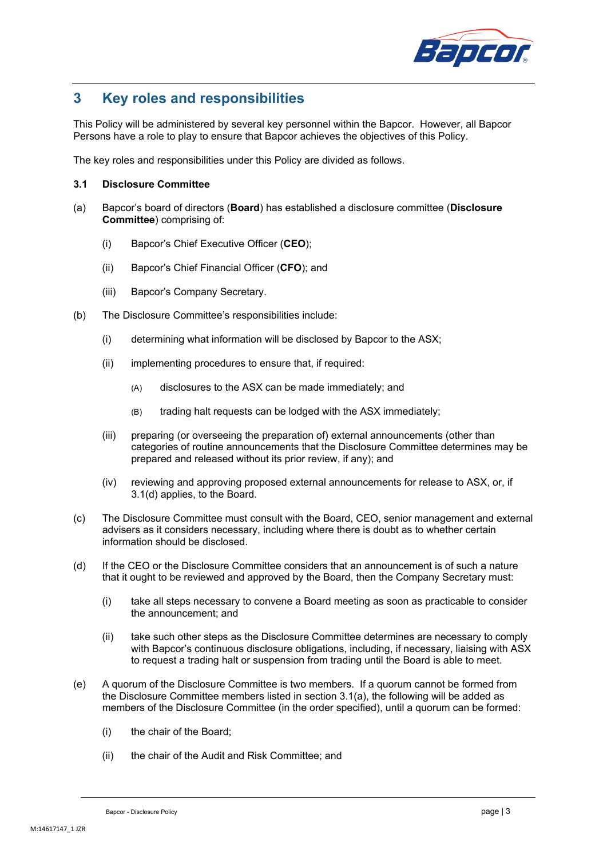

## **3 Key roles and responsibilities**

This Policy will be administered by several key personnel within the Bapcor. However, all Bapcor Persons have a role to play to ensure that Bapcor achieves the objectives of this Policy.

The key roles and responsibilities under this Policy are divided as follows.

### **3.1 Disclosure Committee**

- <span id="page-3-1"></span>(a) Bapcor's board of directors (**Board**) has established a disclosure committee (**Disclosure Committee**) comprising of:
	- (i) Bapcor's Chief Executive Officer (**CEO**);
	- (ii) Bapcor's Chief Financial Officer (**CFO**); and
	- (iii) Bapcor's Company Secretary.
- (b) The Disclosure Committee's responsibilities include:
	- (i) determining what information will be disclosed by Bapcor to the ASX;
	- (ii) implementing procedures to ensure that, if required:
		- (A) disclosures to the ASX can be made immediately; and
		- (B) trading halt requests can be lodged with the ASX immediately;
	- (iii) preparing (or overseeing the preparation of) external announcements (other than categories of routine announcements that the Disclosure Committee determines may be prepared and released without its prior review, if any); and
	- (iv) reviewing and approving proposed external announcements for release to ASX, or, if [3.1\(d\)](#page-3-0) applies, to the Board.
- <span id="page-3-4"></span><span id="page-3-3"></span><span id="page-3-2"></span>(c) The Disclosure Committee must consult with the Board, CEO, senior management and external advisers as it considers necessary, including where there is doubt as to whether certain information should be disclosed.
- <span id="page-3-0"></span>(d) If the CEO or the Disclosure Committee considers that an announcement is of such a nature that it ought to be reviewed and approved by the Board, then the Company Secretary must:
	- (i) take all steps necessary to convene a Board meeting as soon as practicable to consider the announcement; and
	- (ii) take such other steps as the Disclosure Committee determines are necessary to comply with Bapcor's continuous disclosure obligations, including, if necessary, liaising with ASX to request a trading halt or suspension from trading until the Board is able to meet.
- (e) A quorum of the Disclosure Committee is two members. If a quorum cannot be formed from the Disclosure Committee members listed in section [3.1\(a\),](#page-3-1) the following will be added as members of the Disclosure Committee (in the order specified), until a quorum can be formed:
	- (i) the chair of the Board;
	- (ii) the chair of the Audit and Risk Committee; and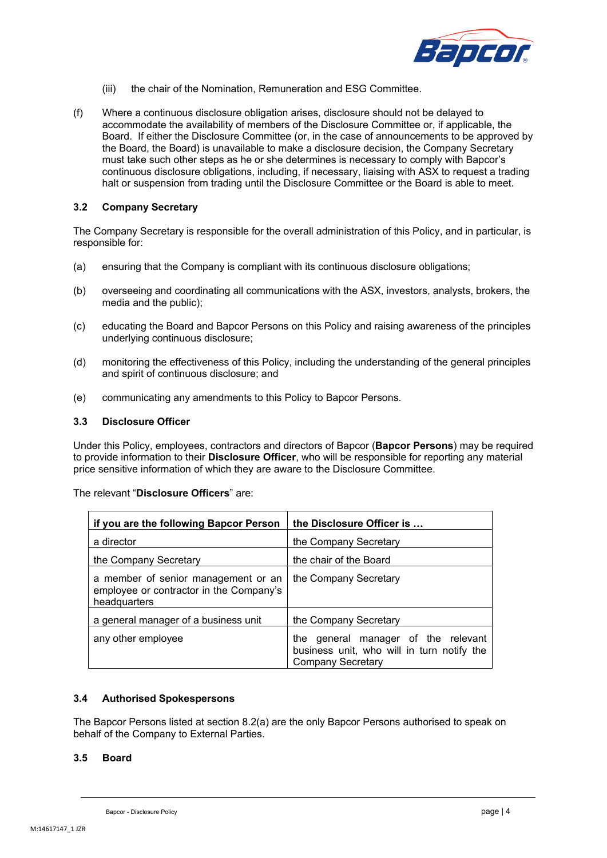

- (iii) the chair of the Nomination, Remuneration and ESG Committee.
- <span id="page-4-0"></span>(f) Where a continuous disclosure obligation arises, disclosure should not be delayed to accommodate the availability of members of the Disclosure Committee or, if applicable, the Board. If either the Disclosure Committee (or, in the case of announcements to be approved by the Board, the Board) is unavailable to make a disclosure decision, the Company Secretary must take such other steps as he or she determines is necessary to comply with Bapcor's continuous disclosure obligations, including, if necessary, liaising with ASX to request a trading halt or suspension from trading until the Disclosure Committee or the Board is able to meet.

### **3.2 Company Secretary**

The Company Secretary is responsible for the overall administration of this Policy, and in particular, is responsible for:

- (a) ensuring that the Company is compliant with its continuous disclosure obligations;
- (b) overseeing and coordinating all communications with the ASX, investors, analysts, brokers, the media and the public);
- (c) educating the Board and Bapcor Persons on this Policy and raising awareness of the principles underlying continuous disclosure;
- (d) monitoring the effectiveness of this Policy, including the understanding of the general principles and spirit of continuous disclosure; and
- (e) communicating any amendments to this Policy to Bapcor Persons.

### **3.3 Disclosure Officer**

Under this Policy, employees, contractors and directors of Bapcor (**Bapcor Persons**) may be required to provide information to their **Disclosure Officer**, who will be responsible for reporting any material price sensitive information of which they are aware to the Disclosure Committee.

The relevant "**Disclosure Officers**" are:

| if you are the following Bapcor Person                                                         | the Disclosure Officer is                                                                                     |  |
|------------------------------------------------------------------------------------------------|---------------------------------------------------------------------------------------------------------------|--|
| a director                                                                                     | the Company Secretary                                                                                         |  |
| the Company Secretary                                                                          | the chair of the Board                                                                                        |  |
| a member of senior management or an<br>employee or contractor in the Company's<br>headquarters | the Company Secretary                                                                                         |  |
| a general manager of a business unit                                                           | the Company Secretary                                                                                         |  |
| any other employee                                                                             | the general manager of the relevant<br>business unit, who will in turn notify the<br><b>Company Secretary</b> |  |

### **3.4 Authorised Spokespersons**

The Bapcor Persons listed at section [8.2\(a\)](#page-8-0) are the only Bapcor Persons authorised to speak on behalf of the Company to External Parties.

### **3.5 Board**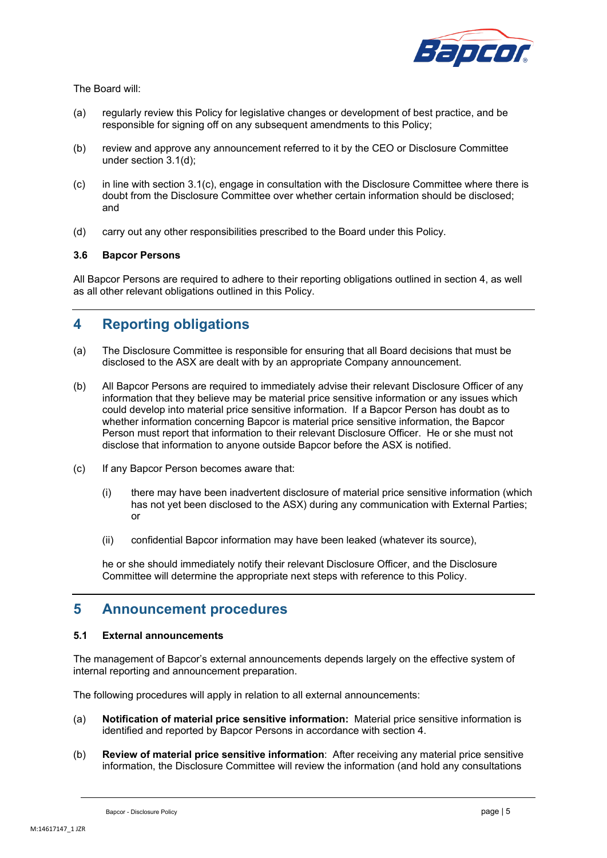

The Board will:

- (a) regularly review this Policy for legislative changes or development of best practice, and be responsible for signing off on any subsequent amendments to this Policy;
- (b) review and approve any announcement referred to it by the CEO or Disclosure Committee under section [3.1\(d\);](#page-3-0)
- (c) in line with section [3.1\(c\),](#page-3-2) engage in consultation with the Disclosure Committee where there is doubt from the Disclosure Committee over whether certain information should be disclosed; and
- (d) carry out any other responsibilities prescribed to the Board under this Policy.

### **3.6 Bapcor Persons**

All Bapcor Persons are required to adhere to their reporting obligations outlined in section [4,](#page-5-0) as well as all other relevant obligations outlined in this Policy.

### <span id="page-5-0"></span>**4 Reporting obligations**

- (a) The Disclosure Committee is responsible for ensuring that all Board decisions that must be disclosed to the ASX are dealt with by an appropriate Company announcement.
- (b) All Bapcor Persons are required to immediately advise their relevant Disclosure Officer of any information that they believe may be material price sensitive information or any issues which could develop into material price sensitive information. If a Bapcor Person has doubt as to whether information concerning Bapcor is material price sensitive information, the Bapcor Person must report that information to their relevant Disclosure Officer. He or she must not disclose that information to anyone outside Bapcor before the ASX is notified.
- (c) If any Bapcor Person becomes aware that:
	- (i) there may have been inadvertent disclosure of material price sensitive information (which has not yet been disclosed to the ASX) during any communication with External Parties; or
	- (ii) confidential Bapcor information may have been leaked (whatever its source),

he or she should immediately notify their relevant Disclosure Officer, and the Disclosure Committee will determine the appropriate next steps with reference to this Policy.

### **5 Announcement procedures**

### <span id="page-5-1"></span>**5.1 External announcements**

The management of Bapcor's external announcements depends largely on the effective system of internal reporting and announcement preparation.

The following procedures will apply in relation to all external announcements:

- (a) **Notification of material price sensitive information:** Material price sensitive information is identified and reported by Bapcor Persons in accordance with section [4.](#page-5-0)
- (b) **Review of material price sensitive information**: After receiving any material price sensitive information, the Disclosure Committee will review the information (and hold any consultations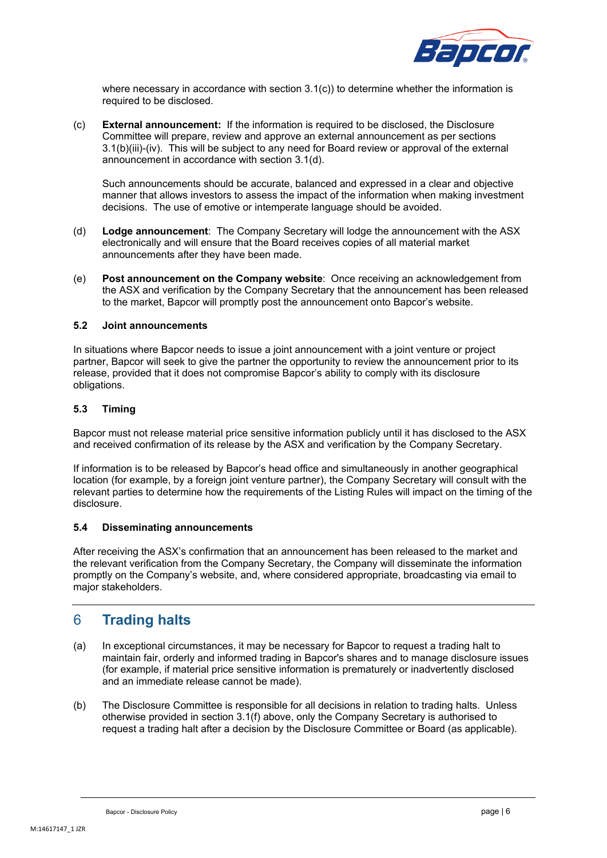

where necessary in accordance with section [3.1\(c\)\)](#page-3-2) to determine whether the information is required to be disclosed.

(c) **External announcement:** If the information is required to be disclosed, the Disclosure Committee will prepare, review and approve an external announcement as per sections [3.1\(b\)\(iii\)](#page-3-3)[-\(iv\).](#page-3-4) This will be subject to any need for Board review or approval of the external announcement in accordance with section [3.1\(d\).](#page-3-0)

Such announcements should be accurate, balanced and expressed in a clear and objective manner that allows investors to assess the impact of the information when making investment decisions. The use of emotive or intemperate language should be avoided.

- (d) **Lodge announcement**:The Company Secretary will lodge the announcement with the ASX electronically and will ensure that the Board receives copies of all material market announcements after they have been made.
- (e) **Post announcement on the Company website**: Once receiving an acknowledgement from the ASX and verification by the Company Secretary that the announcement has been released to the market, Bapcor will promptly post the announcement onto Bapcor's website.

### **5.2 Joint announcements**

In situations where Bapcor needs to issue a joint announcement with a joint venture or project partner, Bapcor will seek to give the partner the opportunity to review the announcement prior to its release, provided that it does not compromise Bapcor's ability to comply with its disclosure obligations.

### **5.3 Timing**

Bapcor must not release material price sensitive information publicly until it has disclosed to the ASX and received confirmation of its release by the ASX and verification by the Company Secretary.

If information is to be released by Bapcor's head office and simultaneously in another geographical location (for example, by a foreign joint venture partner), the Company Secretary will consult with the relevant parties to determine how the requirements of the Listing Rules will impact on the timing of the disclosure.

### **5.4 Disseminating announcements**

After receiving the ASX's confirmation that an announcement has been released to the market and the relevant verification from the Company Secretary, the Company will disseminate the information promptly on the Company's website, and, where considered appropriate, broadcasting via email to major stakeholders.

### 6 **Trading halts**

- (a) In exceptional circumstances, it may be necessary for Bapcor to request a trading halt to maintain fair, orderly and informed trading in Bapcor's shares and to manage disclosure issues (for example, if material price sensitive information is prematurely or inadvertently disclosed and an immediate release cannot be made).
- (b) The Disclosure Committee is responsible for all decisions in relation to trading halts. Unless otherwise provided in section [3.1\(f\)](#page-4-0) above, only the Company Secretary is authorised to request a trading halt after a decision by the Disclosure Committee or Board (as applicable).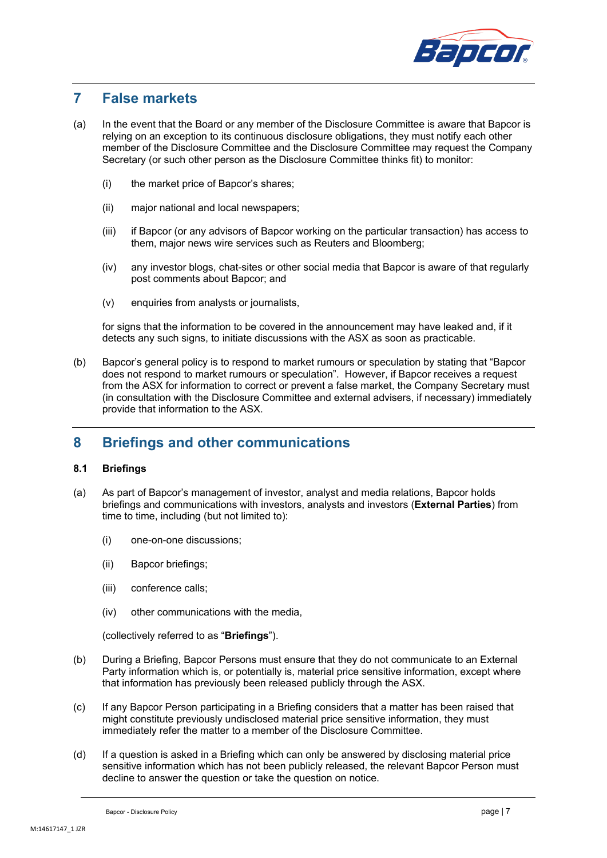

### **7 False markets**

- (a) In the event that the Board or any member of the Disclosure Committee is aware that Bapcor is relying on an exception to its continuous disclosure obligations, they must notify each other member of the Disclosure Committee and the Disclosure Committee may request the Company Secretary (or such other person as the Disclosure Committee thinks fit) to monitor:
	- (i) the market price of Bapcor's shares;
	- (ii) major national and local newspapers;
	- (iii) if Bapcor (or any advisors of Bapcor working on the particular transaction) has access to them, major news wire services such as Reuters and Bloomberg;
	- (iv) any investor blogs, chat-sites or other social media that Bapcor is aware of that regularly post comments about Bapcor; and
	- (v) enquiries from analysts or journalists,

for signs that the information to be covered in the announcement may have leaked and, if it detects any such signs, to initiate discussions with the ASX as soon as practicable.

(b) Bapcor's general policy is to respond to market rumours or speculation by stating that "Bapcor does not respond to market rumours or speculation". However, if Bapcor receives a request from the ASX for information to correct or prevent a false market, the Company Secretary must (in consultation with the Disclosure Committee and external advisers, if necessary) immediately provide that information to the ASX.

### **8 Briefings and other communications**

### <span id="page-7-0"></span>**8.1 Briefings**

- (a) As part of Bapcor's management of investor, analyst and media relations, Bapcor holds briefings and communications with investors, analysts and investors (**External Parties**) from time to time, including (but not limited to):
	- (i) one-on-one discussions;
	- (ii) Bapcor briefings;
	- (iii) conference calls;
	- (iv) other communications with the media,

(collectively referred to as "**Briefings**").

- (b) During a Briefing, Bapcor Persons must ensure that they do not communicate to an External Party information which is, or potentially is, material price sensitive information, except where that information has previously been released publicly through the ASX.
- (c) If any Bapcor Person participating in a Briefing considers that a matter has been raised that might constitute previously undisclosed material price sensitive information, they must immediately refer the matter to a member of the Disclosure Committee.
- (d) If a question is asked in a Briefing which can only be answered by disclosing material price sensitive information which has not been publicly released, the relevant Bapcor Person must decline to answer the question or take the question on notice.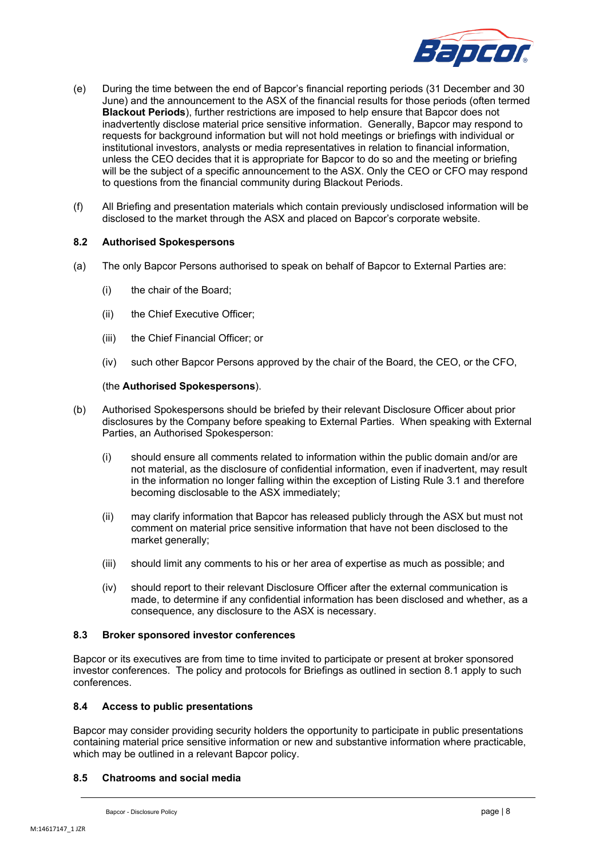

- (e) During the time between the end of Bapcor's financial reporting periods (31 December and 30 June) and the announcement to the ASX of the financial results for those periods (often termed **Blackout Periods**), further restrictions are imposed to help ensure that Bapcor does not inadvertently disclose material price sensitive information. Generally, Bapcor may respond to requests for background information but will not hold meetings or briefings with individual or institutional investors, analysts or media representatives in relation to financial information, unless the CEO decides that it is appropriate for Bapcor to do so and the meeting or briefing will be the subject of a specific announcement to the ASX. Only the CEO or CFO may respond to questions from the financial community during Blackout Periods.
- (f) All Briefing and presentation materials which contain previously undisclosed information will be disclosed to the market through the ASX and placed on Bapcor's corporate website.

### **8.2 Authorised Spokespersons**

- <span id="page-8-0"></span>(a) The only Bapcor Persons authorised to speak on behalf of Bapcor to External Parties are:
	- (i) the chair of the Board;
	- (ii) the Chief Executive Officer;
	- (iii) the Chief Financial Officer; or
	- (iv) such other Bapcor Persons approved by the chair of the Board, the CEO, or the CFO,

### (the **Authorised Spokespersons**).

- (b) Authorised Spokespersons should be briefed by their relevant Disclosure Officer about prior disclosures by the Company before speaking to External Parties. When speaking with External Parties, an Authorised Spokesperson:
	- (i) should ensure all comments related to information within the public domain and/or are not material, as the disclosure of confidential information, even if inadvertent, may result in the information no longer falling within the exception of Listing Rule 3.1 and therefore becoming disclosable to the ASX immediately;
	- (ii) may clarify information that Bapcor has released publicly through the ASX but must not comment on material price sensitive information that have not been disclosed to the market generally;
	- (iii) should limit any comments to his or her area of expertise as much as possible; and
	- (iv) should report to their relevant Disclosure Officer after the external communication is made, to determine if any confidential information has been disclosed and whether, as a consequence, any disclosure to the ASX is necessary.

### **8.3 Broker sponsored investor conferences**

Bapcor or its executives are from time to time invited to participate or present at broker sponsored investor conferences. The policy and protocols for Briefings as outlined in section [8.1](#page-7-0) apply to such conferences.

### **8.4 Access to public presentations**

Bapcor may consider providing security holders the opportunity to participate in public presentations containing material price sensitive information or new and substantive information where practicable, which may be outlined in a relevant Bapcor policy.

### **8.5 Chatrooms and social media**

Bapcor - Disclosure Policy **page | 8**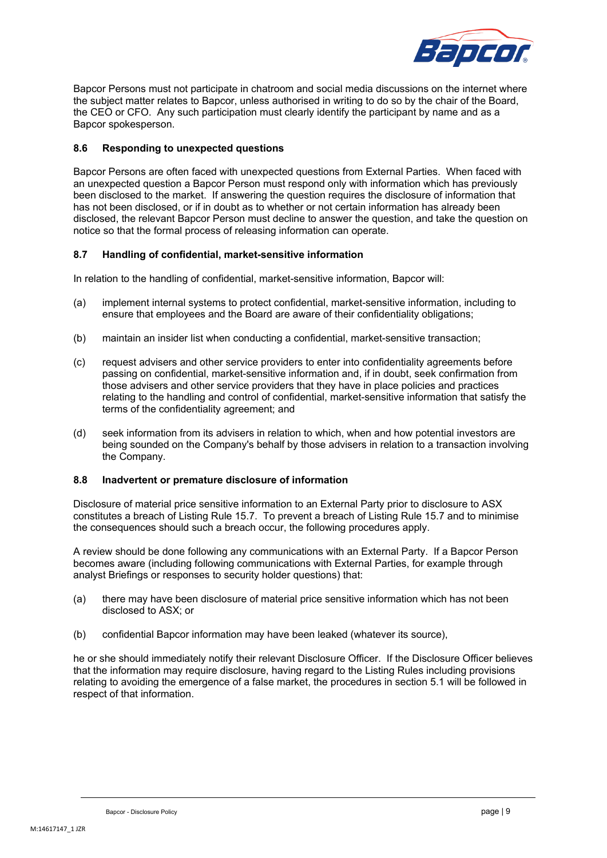

Bapcor Persons must not participate in chatroom and social media discussions on the internet where the subject matter relates to Bapcor, unless authorised in writing to do so by the chair of the Board, the CEO or CFO. Any such participation must clearly identify the participant by name and as a Bapcor spokesperson.

### **8.6 Responding to unexpected questions**

Bapcor Persons are often faced with unexpected questions from External Parties. When faced with an unexpected question a Bapcor Person must respond only with information which has previously been disclosed to the market. If answering the question requires the disclosure of information that has not been disclosed, or if in doubt as to whether or not certain information has already been disclosed, the relevant Bapcor Person must decline to answer the question, and take the question on notice so that the formal process of releasing information can operate.

### **8.7 Handling of confidential, market-sensitive information**

In relation to the handling of confidential, market-sensitive information, Bapcor will:

- (a) implement internal systems to protect confidential, market-sensitive information, including to ensure that employees and the Board are aware of their confidentiality obligations;
- (b) maintain an insider list when conducting a confidential, market-sensitive transaction;
- (c) request advisers and other service providers to enter into confidentiality agreements before passing on confidential, market-sensitive information and, if in doubt, seek confirmation from those advisers and other service providers that they have in place policies and practices relating to the handling and control of confidential, market-sensitive information that satisfy the terms of the confidentiality agreement; and
- (d) seek information from its advisers in relation to which, when and how potential investors are being sounded on the Company's behalf by those advisers in relation to a transaction involving the Company.

### **8.8 Inadvertent or premature disclosure of information**

Disclosure of material price sensitive information to an External Party prior to disclosure to ASX constitutes a breach of Listing Rule 15.7. To prevent a breach of Listing Rule 15.7 and to minimise the consequences should such a breach occur, the following procedures apply.

A review should be done following any communications with an External Party. If a Bapcor Person becomes aware (including following communications with External Parties, for example through analyst Briefings or responses to security holder questions) that:

- (a) there may have been disclosure of material price sensitive information which has not been disclosed to ASX; or
- (b) confidential Bapcor information may have been leaked (whatever its source),

he or she should immediately notify their relevant Disclosure Officer. If the Disclosure Officer believes that the information may require disclosure, having regard to the Listing Rules including provisions relating to avoiding the emergence of a false market, the procedures in section [5.1](#page-5-1) will be followed in respect of that information.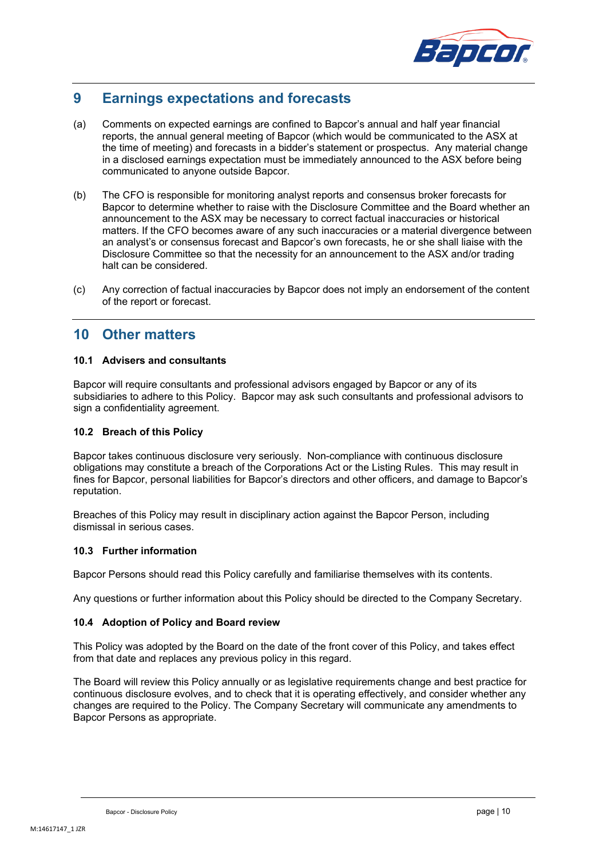

# **9 Earnings expectations and forecasts**

- (a) Comments on expected earnings are confined to Bapcor's annual and half year financial reports, the annual general meeting of Bapcor (which would be communicated to the ASX at the time of meeting) and forecasts in a bidder's statement or prospectus. Any material change in a disclosed earnings expectation must be immediately announced to the ASX before being communicated to anyone outside Bapcor.
- (b) The CFO is responsible for monitoring analyst reports and consensus broker forecasts for Bapcor to determine whether to raise with the Disclosure Committee and the Board whether an announcement to the ASX may be necessary to correct factual inaccuracies or historical matters. If the CFO becomes aware of any such inaccuracies or a material divergence between an analyst's or consensus forecast and Bapcor's own forecasts, he or she shall liaise with the Disclosure Committee so that the necessity for an announcement to the ASX and/or trading halt can be considered.
- (c) Any correction of factual inaccuracies by Bapcor does not imply an endorsement of the content of the report or forecast.

### **10 Other matters**

### **10.1 Advisers and consultants**

Bapcor will require consultants and professional advisors engaged by Bapcor or any of its subsidiaries to adhere to this Policy. Bapcor may ask such consultants and professional advisors to sign a confidentiality agreement.

### **10.2 Breach of this Policy**

Bapcor takes continuous disclosure very seriously. Non-compliance with continuous disclosure obligations may constitute a breach of the Corporations Act or the Listing Rules. This may result in fines for Bapcor, personal liabilities for Bapcor's directors and other officers, and damage to Bapcor's reputation.

Breaches of this Policy may result in disciplinary action against the Bapcor Person, including dismissal in serious cases.

### **10.3 Further information**

Bapcor Persons should read this Policy carefully and familiarise themselves with its contents.

Any questions or further information about this Policy should be directed to the Company Secretary.

### **10.4 Adoption of Policy and Board review**

This Policy was adopted by the Board on the date of the front cover of this Policy, and takes effect from that date and replaces any previous policy in this regard.

The Board will review this Policy annually or as legislative requirements change and best practice for continuous disclosure evolves, and to check that it is operating effectively, and consider whether any changes are required to the Policy. The Company Secretary will communicate any amendments to Bapcor Persons as appropriate.